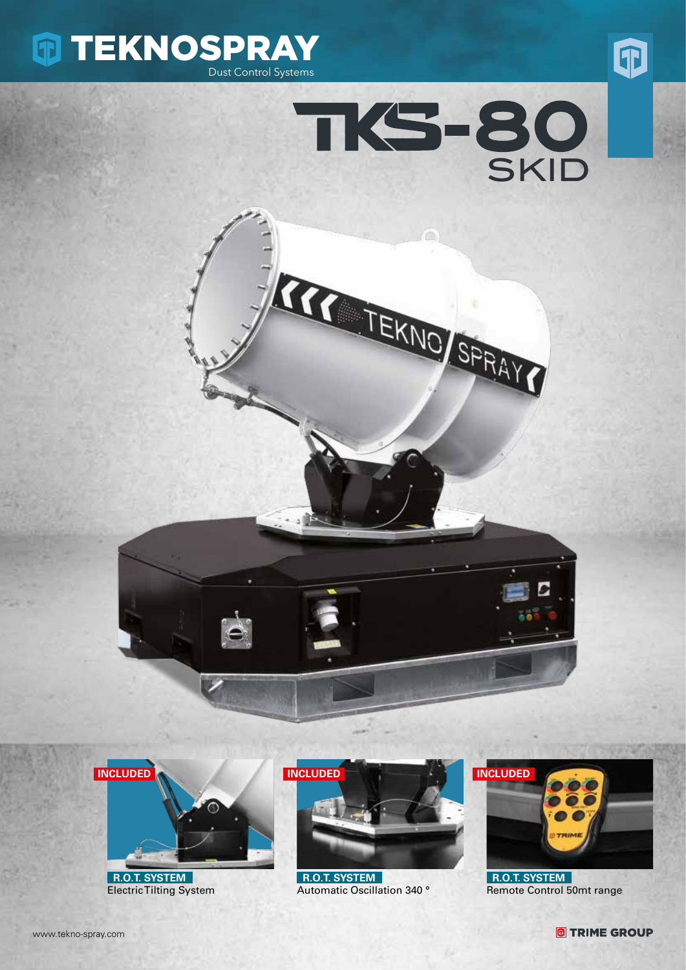









 **R.O.T. SYSTEM** Electric Tilting System



 **R.O.T. SYSTEM** Automatic Oscillation 340 °



 **R.O.T. SYSTEM** Remote Control 50mt range